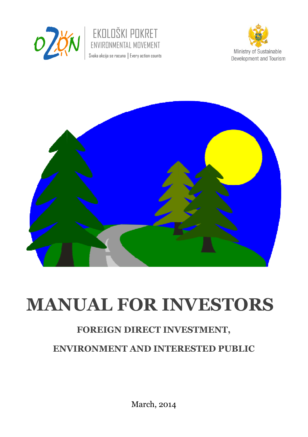







# **MANUAL FOR INVESTORS**

# **FOREIGN DIRECT INVESTMENT,**

# **ENVIRONMENT AND INTERESTED PUBLIC**

March, 2014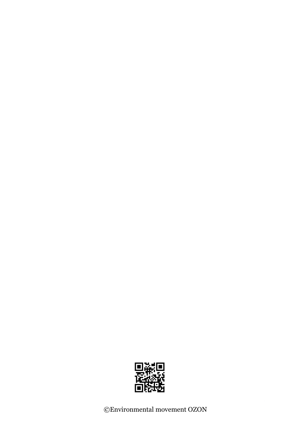

©Environmental movement OZON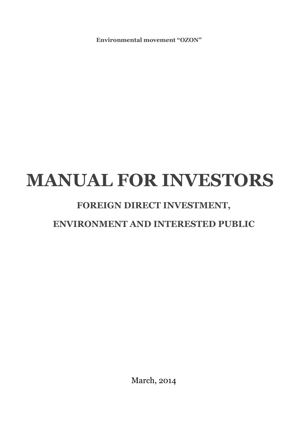**Environmental movement "OZON"** 

# **MANUAL FOR INVESTORS**

# **FOREIGN DIRECT INVESTMENT,**

# **ENVIRONMENT AND INTERESTED PUBLIC**

March, 2014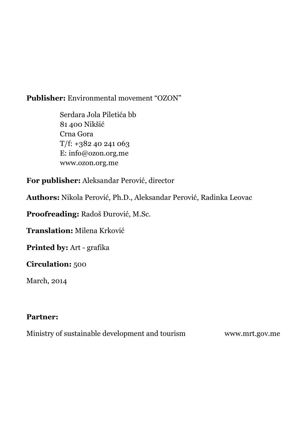#### **Publisher:** Environmental movement "OZON"

 Serdara Jola Piletića bb 81 400 Nikšić Crna Gora  $T/f$ : +382 40 241 063 E: info@ozon.org.me www.ozon.org.me

**For publisher:** Aleksandar Perović, director

**Authors:** Nikola Perović, Ph.D., Aleksandar Perović, Radinka Leovac

**Proofreading:** Radoš Đurović, M.Sc.

**Translation:** Milena Krković

**Printed by:** Art - grafika

#### **Circulation:** 500

March, 2014

#### **Partner:**

Ministry of sustainable development and tourism www.mrt.gov.me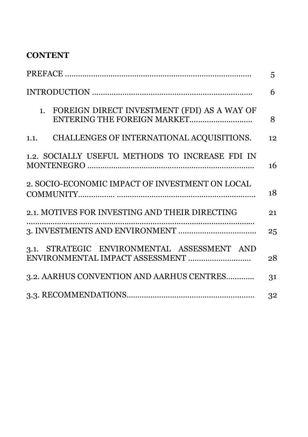## **CONTENT**

|                                                                                | 5  |
|--------------------------------------------------------------------------------|----|
|                                                                                | 6  |
| 1. FOREIGN DIRECT INVESTMENT (FDI) AS A WAY OF                                 | 8  |
| CHALLENGES OF INTERNATIONAL ACQUISITIONS.<br>1.1.                              | 12 |
| 1.2. SOCIALLY USEFUL METHODS TO INCREASE FDI IN                                | 16 |
| 2. SOCIO-ECONOMIC IMPACT OF INVESTMENT ON LOCAL                                | 18 |
| 2.1. MOTIVES FOR INVESTING AND THEIR DIRECTING                                 | 21 |
|                                                                                | 25 |
| 3.1. STRATEGIC ENVIRONMENTAL ASSESSMENT AND<br>ENVIRONMENTAL IMPACT ASSESSMENT | 28 |
| 3.2. AARHUS CONVENTION AND AARHUS CENTRES                                      | 31 |
|                                                                                | 32 |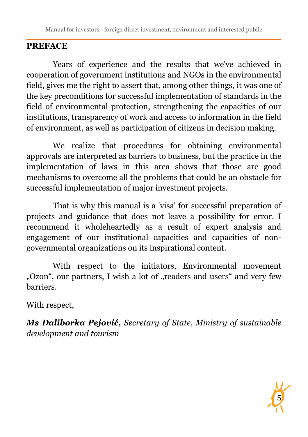## **PREFACE**

Years of experience and the results that we've achieved in cooperation of government institutions and NGOs in the environmental field, gives me the right to assert that, among other things, it was one of the key preconditions for successful implementation of standards in the field of environmental protection, strengthening the capacities of our institutions, transparency of work and access to information in the field of environment, as well as participation of citizens in decision making.

We realize that procedures for obtaining environmental approvals are interpreted as barriers to business, but the practice in the implementation of laws in this area shows that those are good mechanisms to overcome all the problems that could be an obstacle for successful implementation of major investment projects.

That is why this manual is a 'visa' for successful preparation of projects and guidance that does not leave a possibility for error. I recommend it wholeheartedly as a result of expert analysis and engagement of our institutional capacities and capacities of nongovernmental organizations on its inspirational content.

With respect to the initiators, Environmental movement "Ozon", our partners, I wish a lot of "readers and users" and very few barriers.

With respect,

*Ms Daliborka Pejović, Secretary of State, Ministry of sustainable development and tourism*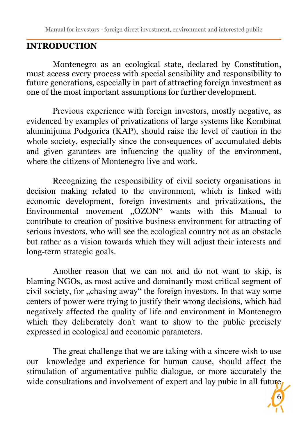#### **INTRODUCTION**

Montenegro as an ecological state, declared by Constitution, must access every process with special sensibility and responsibility to future generations, especially in part of attracting foreign investment as one of the most important assumptions for further development.

Previous experience with foreign investors, mostly negative, as evidenced by examples of privatizations of large systems like Kombinat aluminijuma Podgorica (KAP), should raise the level of caution in the whole society, especially since the consequences of accumulated debts and given garantees are infuencing the quality of the environment, where the citizens of Montenegro live and work.

Recognizing the responsibility of civil society organisations in decision making related to the environment, which is linked with economic development, foreign investments and privatizations, the Environmental movement "OZON" wants with this Manual to contribute to creation of positive business environment for attracting of serious investors, who will see the ecological country not as an obstacle but rather as a vision towards which they will adjust their interests and long-term strategic goals.

Another reason that we can not and do not want to skip, is blaming NGOs, as most active and dominantly most critical segment of civil society, for "chasing away" the foreign investors. In that way some centers of power were trying to justify their wrong decisions, which had negatively affected the quality of life and environment in Montenegro which they deliberately don't want to show to the public precisely expressed in ecological and economic parameters.

The great challenge that we are taking with a sincere wish to use our knowledge and experience for human cause, should affect the stimulation of argumentative public dialogue, or more accurately the wide consultations and involvement of expert and lay pubic in all future.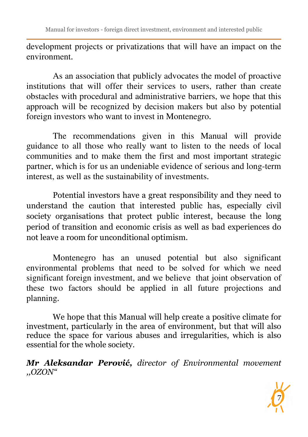development projects or privatizations that will have an impact on the environment.

As an association that publicly advocates the model of proactive institutions that will offer their services to users, rather than create obstacles with procedural and administrative barriers, we hope that this approach will be recognized by decision makers but also by potential foreign investors who want to invest in Montenegro.

The recommendations given in this Manual will provide guidance to all those who really want to listen to the needs of local communities and to make them the first and most important strategic partner, which is for us an undeniable evidence of serious and long-term interest, as well as the sustainability of investments.

Potential investors have a great responsibility and they need to understand the caution that interested public has, especially civil society organisations that protect public interest, because the long period of transition and economic crisis as well as bad experiences do not leave a room for unconditional optimism.

Montenegro has an unused potential but also significant environmental problems that need to be solved for which we need significant foreign investment, and we believe that joint observation of these two factors should be applied in all future projections and planning.

We hope that this Manual will help create a positive climate for investment, particularly in the area of environment, but that will also reduce the space for various abuses and irregularities, which is also essential for the whole society.

*Mr Aleksandar Perović, director of Environmental movement ,,OZON"* 

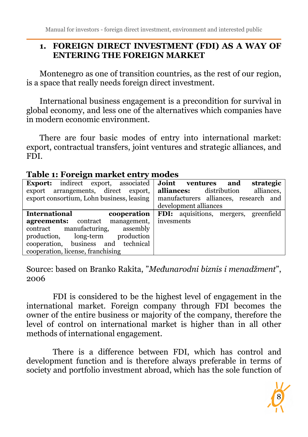### **1. FOREIGN DIRECT INVESTMENT (FDI) AS A WAY OF ENTERING THE FOREIGN MARKET**

Montenegro as one of transition countries, as the rest of our region, is a space that really needs foreign direct investment.

International business engagement is a precondition for survival in global economy, and less one of the alternatives which companies have in modern economic environment.

There are four basic modes of entry into international market: export, contractual transfers, joint ventures and strategic alliances, and FDI.

| <b>Export:</b> indirect export, associated | Joint ventures<br>strategic<br>and           |
|--------------------------------------------|----------------------------------------------|
| export arrangements, direct export,        | alliances.<br><b>alliances:</b> distribution |
| export consortium, Lohn business, leasing  | manufacturers alliances, research and        |
|                                            | development alliances                        |
| <b>International</b><br>cooperation        | FDI: aquisitions, mergers, greenfield        |
| management,<br><b>agreements:</b> contract | invesments                                   |
| manufacturing,<br>assembly<br>contract     |                                              |
| production<br>production,<br>long-term     |                                              |
| cooperation, business and technical        |                                              |
| cooperation, license, franchising          |                                              |

#### **Table 1: Foreign market entry modes**

Source: based on Branko Rakita, "*Međunarodni biznis i menadžment*", 2006

FDI is considered to be the highest level of engagement in the international market. Foreign company through FDI becomes the owner of the entire business or majority of the company, therefore the level of control on international market is higher than in all other methods of international engagement.

There is a difference between FDI, which has control and development function and is therefore always preferable in terms of society and portfolio investment abroad, which has the sole function of

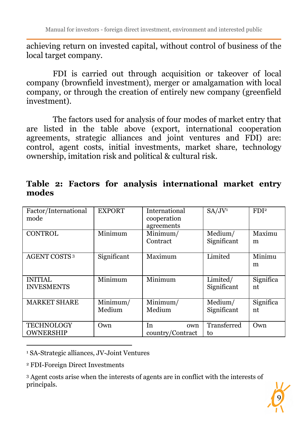achieving return on invested capital, without control of business of the local target company.

FDI is carried out through acquisition or takeover of local company (brownfield investment), merger or amalgamation with local company, or through the creation of entirely new company (greenfield investment).

The factors used for analysis of four modes of market entry that are listed in the table above (export, international cooperation agreements, strategic alliances and joint ventures and FDI) are: control, agent costs, initial investments, market share, technology ownership, imitation risk and political & cultural risk.

| Factor/International<br>mode          | <b>EXPORT</b>                         | International<br>cooperation<br>agreements | SA/JV <sup>1</sup>      | FDI <sup>2</sup> |
|---------------------------------------|---------------------------------------|--------------------------------------------|-------------------------|------------------|
| <b>CONTROL</b>                        | Minimum                               | Minimum/<br>Contract                       | Medium/<br>Significant  | Maximu<br>m      |
| <b>AGENT COSTS<sup>3</sup></b>        | Significant                           | Maximum                                    | Limited                 | Minimu<br>m      |
| <b>INITIAL</b><br><b>INVESMENTS</b>   | Minimum                               | Minimum                                    | Limited/<br>Significant | Significa<br>nt  |
| <b>MARKET SHARE</b>                   | $\overline{\text{Minimum}}$<br>Medium | Minimum/<br>Medium                         | Medium/<br>Significant  | Significa<br>nt  |
| <b>TECHNOLOGY</b><br><b>OWNERSHIP</b> | Own                                   | In<br>own<br>country/Contract              | Transferred<br>to       | Own              |

**Table 2: Factors for analysis international market entry modes** 

1 SA-Strategic alliances, JV-Joint Ventures

2 FDI-Foreign Direct Investments

 $\overline{a}$ 

3 Agent costs arise when the interests of agents are in conflict with the interests of principals.

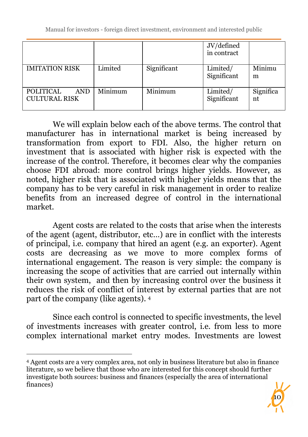|                                                        |         |             | JV/defined<br>in contract |                 |
|--------------------------------------------------------|---------|-------------|---------------------------|-----------------|
| <b>IMITATION RISK</b>                                  | Limited | Significant | Limited/<br>Significant   | Minimu<br>m     |
| <b>POLITICAL</b><br><b>AND</b><br><b>CULTURAL RISK</b> | Minimum | Minimum     | Limited/<br>Significant   | Significa<br>nt |

We will explain below each of the above terms. The control that manufacturer has in international market is being increased by transformation from export to FDI. Also, the higher return on investment that is associated with higher risk is expected with the increase of the control. Therefore, it becomes clear why the companies choose FDI abroad: more control brings higher yields. However, as noted, higher risk that is associated with higher yields means that the company has to be very careful in risk management in order to realize benefits from an increased degree of control in the international market.

Agent costs are related to the costs that arise when the interests of the agent (agent, distributor, etc…) are in conflict with the interests of principal, i.e. company that hired an agent (e.g. an exporter). Agent costs are decreasing as we move to more complex forms of international engagement. The reason is very simple: the company is increasing the scope of activities that are carried out internally within their own system, and then by increasing control over the business it reduces the risk of conflict of interest by external parties that are not part of the company (like agents). <sup>4</sup>

Since each control is connected to specific investments, the level of investments increases with greater control, i.e. from less to more complex international market entry modes. Investments are lowest



<sup>4</sup> Agent costs are a very complex area, not only in business literature but also in finance literature, so we believe that those who are interested for this concept should further investigate both sources: business and finances (especially the area of international finances)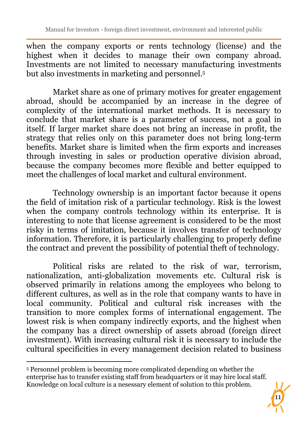when the company exports or rents technology (license) and the highest when it decides to manage their own company abroad. Investments are not limited to necessary manufacturing investments but also investments in marketing and personnel.<sup>5</sup>

Market share as one of primary motives for greater engagement abroad, should be accompanied by an increase in the degree of complexity of the international market methods. It is necessary to conclude that market share is a parameter of success, not a goal in itself. If larger market share does not bring an increase in profit, the strategy that relies only on this parameter does not bring long-term benefits. Market share is limited when the firm exports and increases through investing in sales or production operative division abroad, because the company becomes more flexible and better equipped to meet the challenges of local market and cultural environment.

Technology ownership is an important factor because it opens the field of imitation risk of a particular technology. Risk is the lowest when the company controls technology within its enterprise. It is interesting to note that license agreement is considered to be the most risky in terms of imitation, because it involves transfer of technology information. Therefore, it is particularly challenging to properly define the contract and prevent the possibility of potential theft of technology.

Political risks are related to the risk of war, terrorism, nationalization, anti-globalization movements etc. Cultural risk is observed primarily in relations among the employees who belong to different cultures, as well as in the role that company wants to have in local community. Political and cultural risk increases with the transition to more complex forms of international engagement. The lowest risk is when company indirectly exports, and the highest when the company has a direct ownership of assets abroad (foreign direct investment). With increasing cultural risk it is necessary to include the cultural specificities in every management decision related to business



<sup>5</sup> Personnel problem is becoming more complicated depending on whether the enterprise has to transfer existing staff from headquarters or it may hire local staff. Knowledge on local culture is a nesessary element of solution to this problem.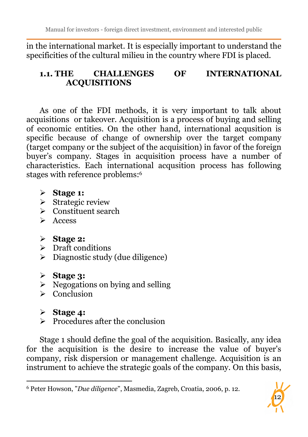in the international market. It is especially important to understand the specificities of the cultural milieu in the country where FDI is placed.

#### **1.1. THE CHALLENGES OF INTERNATIONAL ACQUISITIONS**

As one of the FDI methods, it is very important to talk about acquisitions or takeover. Acquisition is a process of buying and selling of economic entities. On the other hand, international acqusition is specific because of change of ownership over the target company (target company or the subject of the acquisition) in favor of the foreign buyer's company. Stages in acquisition process have a number of characteristics. Each international acqusition process has following stages with reference problems:<sup>6</sup>

- **Stage 1:**
- $\triangleright$  Strategic review
- Constituent search
- $\triangleright$  Access

## **Stage 2:**

- $\triangleright$  Draft conditions
- $\triangleright$  Diagnostic study (due diligence)
- **Stage 3:**
- $\triangleright$  Negogations on bying and selling
- $\triangleright$  Conclusion
- **Stage 4:**

 $\overline{a}$ 

 $\triangleright$  Procedures after the conclusion

Stage 1 should define the goal of the acquisition. Basically, any idea for the acquisition is the desire to increase the value of buyer's company, risk dispersion or management challenge. Acquisition is an instrument to achieve the strategic goals of the company. On this basis,



<sup>6</sup> Peter Howson, "*Due diligence*", Masmedia, Zagreb, Croatia, 2006, p. 12.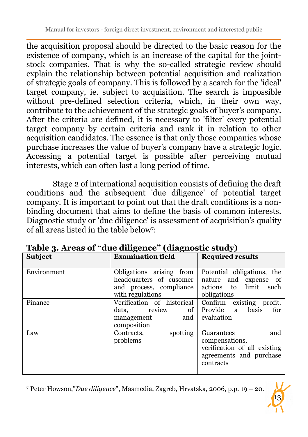the acquisition proposal should be directed to the basic reason for the existence of company, which is an increase of the capital for the jointstock companies. That is why the so-called strategic review should explain the relationship between potential acquisition and realization of strategic goals of company. This is followed by a search for the 'ideal' target company, ie. subject to acquisition. The search is impossible without pre-defined selection criteria, which, in their own way, contribute to the achievement of the strategic goals of buyer's company. After the criteria are defined, it is necessary to 'filter' every potential target company by certain criteria and rank it in relation to other acquisition candidates. The essence is that only those companies whose purchase increases the value of buyer's company have a strategic logic. Accessing a potential target is possible after perceiving mutual interests, which can often last a long period of time.

Stage 2 of international acquisition consists of defining the draft conditions and the subsequent 'due diligence' of potential target company. It is important to point out that the draft conditions is a nonbinding document that aims to define the basis of common interests. Diagnostic study or 'due diligence' is assessment of acquisition's quality of all areas listed in the table below<sup>7</sup> :

| Subject     | <b>Examination field</b>                                                                           | <b>Required results</b>                                                                                     |
|-------------|----------------------------------------------------------------------------------------------------|-------------------------------------------------------------------------------------------------------------|
| Environment | Obligations arising from<br>headquarters of cusomer<br>and process, compliance<br>with regulations | Potential obligations, the<br>nature and expense of<br>actions to limit<br>such<br>obligations              |
| Finance     | Verification of historical<br>data.<br>review<br>of<br>and<br>management<br>composition            | Confirm existing profit.<br>Provide<br>basis<br>a.<br>for<br>evaluation                                     |
| Law         | spotting<br>Contracts,<br>problems                                                                 | Guarantees<br>and<br>compensations,<br>verification of all existing<br>agreements and purchase<br>contracts |

**Table 3. Areas of "due diligence" (diagnostic study)** 

7 Peter Howson,"*Due diligence*", Masmedia, Zagreb, Hrvatska, 2006, p.p. 19 – 20.

.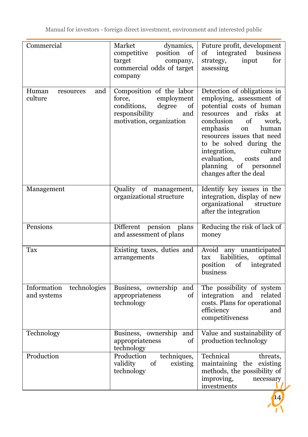| Commercial                                 | Market<br>dynamics,<br>competitive<br>position<br>of<br>target<br>company,<br>commercial odds of target<br>company                   | Future profit, development<br>of integrated business<br>for<br>strategy,<br>input<br>assessing                                                                                                                                                                                                                                                 |
|--------------------------------------------|--------------------------------------------------------------------------------------------------------------------------------------|------------------------------------------------------------------------------------------------------------------------------------------------------------------------------------------------------------------------------------------------------------------------------------------------------------------------------------------------|
| Human<br>and<br>resources<br>culture       | Composition of the labor<br>employment<br>force,<br>conditions,<br>degree<br>of<br>responsibility<br>and<br>motivation, organization | Detection of obligations in<br>employing, assessment of<br>potential costs of human<br>resources and risks<br>at<br>of<br>work,<br>conclusion<br>emphasis<br>human<br>on<br>resources issues that need<br>to be solved during the<br>integration,<br>culture<br>evaluation,<br>and<br>costs<br>planning of personnel<br>changes after the deal |
| Management                                 | Quality of management,<br>organizational structure                                                                                   | Identify key issues in the<br>integration, display of new<br>organizational structure<br>after the integration                                                                                                                                                                                                                                 |
| Pensions                                   | Different pension plans<br>and assessment of plans                                                                                   | Reducing the risk of lack of<br>money                                                                                                                                                                                                                                                                                                          |
| Tax                                        | Existing taxes, duties and<br>arrangements                                                                                           | Avoid any unanticipated<br>liabilities,<br>optimal<br>tax<br>position<br>integrated<br>of<br>business                                                                                                                                                                                                                                          |
| technologies<br>Information<br>and systems | Business, ownership and<br>appropriateness<br>οf<br>technology                                                                       | The possibility of system<br>integration<br>and<br>related<br>costs. Plans for operational<br>efficiency<br>and<br>competitiveness                                                                                                                                                                                                             |
| Technology                                 | Business, ownership and<br>appropriateness<br>οf<br>technology                                                                       | Value and sustainability of<br>production technology                                                                                                                                                                                                                                                                                           |
| Production                                 | Production<br>techniques,<br>validity<br>of<br>existing<br>technology                                                                | Technical<br>threats,<br>maintaining the existing<br>methods, the possibility of<br>improving,<br>necessary<br>investments                                                                                                                                                                                                                     |

 $14/14$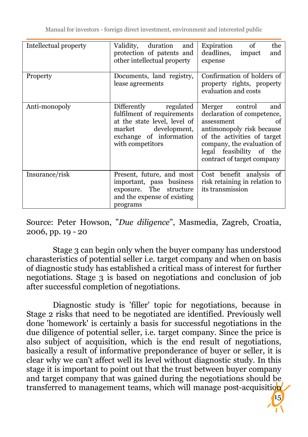| Intellectual property | Validity,<br>duration<br>and<br>protection of patents and<br>other intellectual property                                                                  | of<br>Expiration<br>the<br>deadlines,<br>impact<br>and<br>expense                                                                                                                                                           |
|-----------------------|-----------------------------------------------------------------------------------------------------------------------------------------------------------|-----------------------------------------------------------------------------------------------------------------------------------------------------------------------------------------------------------------------------|
| Property              | Documents, land registry,<br>lease agreements                                                                                                             | Confirmation of holders of<br>property rights, property<br>evaluation and costs                                                                                                                                             |
| Anti-monopoly         | Differently regulated<br>fulfilment of requirements<br>at the state level, level of<br>market development,<br>exchange of information<br>with competitors | Merger control<br>and<br>declaration of competence,<br>assessment<br>of<br>antimonopoly risk because<br>of the activities of target<br>company, the evaluation of<br>legal feasibility of the<br>contract of target company |
| Insurance/risk        | Present, future, and most<br>important, pass business<br>exposure. The<br>structure<br>and the expense of existing<br>programs                            | Cost benefit analysis of<br>risk retaining in relation to<br>its transmission                                                                                                                                               |

Source: Peter Howson, "*Due diligence*", Masmedia, Zagreb, Croatia, 2006, pp. 19 - 20

Stage 3 can begin only when the buyer company has understood charasteristics of potential seller i.e. target company and when on basis of diagnostic study has established a critical mass of interest for further negotiations. Stage 3 is based on negotiations and conclusion of job after successful completion of negotiations.

Diagnostic study is 'filler' topic for negotiations, because in Stage 2 risks that need to be negotiated are identified. Previously well done 'homework' is certainly a basis for successful negotiations in the due diligence of potential seller, i.e. target company. Since the price is also subject of acquisition, which is the end result of negotiations, basically a result of informative preponderance of buyer or seller, it is clear why we can't affect well its level without diagnostic study. In this stage it is important to point out that the trust between buyer company and target company that was gained during the negotiations should be transferred to management teams, which will manage post-acquisition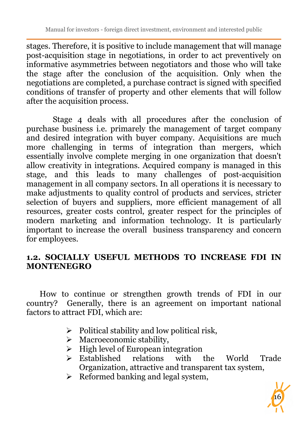stages. Therefore, it is positive to include management that will manage post-acquisition stage in negotiations, in order to act preventively on informative asymmetries between negotiators and those who will take the stage after the conclusion of the acquisition. Only when the negotiations are completed, a purchase contract is signed with specified conditions of transfer of property and other elements that will follow after the acquisition process.

Stage 4 deals with all procedures after the conclusion of purchase business i.e. primarely the management of target company and desired integration with buyer company. Acquisitions are much more challenging in terms of integration than mergers, which essentially involve complete merging in one organization that doesn't allow creativity in integrations. Acquired company is managed in this stage, and this leads to many challenges of post-acquisition management in all company sectors. In all operations it is necessary to make adjustments to quality control of products and services, stricter selection of buyers and suppliers, more efficient management of all resources, greater costs control, greater respect for the principles of modern marketing and information technology. It is particularly important to increase the overall business transparency and concern for employees.

#### **1.2. SOCIALLY USEFUL METHODS TO INCREASE FDI IN MONTENEGRO**

How to continue or strengthen growth trends of FDI in our country? Generally, there is an agreement on important national factors to attract FDI, which are:

- $\triangleright$  Political stability and low political risk,
- $\triangleright$  Macroeconomic stability,
- $\triangleright$  High level of European integration
- > Established relations with the World Trade Organization, attractive and transparent tax system,
- $\triangleright$  Reformed banking and legal system,

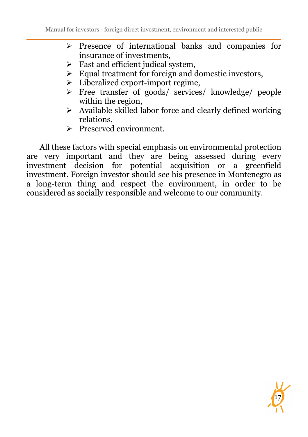- $\triangleright$  Presence of international banks and companies for insurance of investments,
- $\triangleright$  Fast and efficient judical system,
- $\triangleright$  Equal treatment for foreign and domestic investors,
- $\triangleright$  Liberalized export-import regime,
- Free transfer of goods/ services/ knowledge/ people within the region,
- $\triangleright$  Available skilled labor force and clearly defined working relations,

17

 $\triangleright$  Preserved environment.

All these factors with special emphasis on environmental protection are very important and they are being assessed during every investment decision for potential acquisition or a greenfield investment. Foreign investor should see his presence in Montenegro as a long-term thing and respect the environment, in order to be considered as socially responsible and welcome to our community.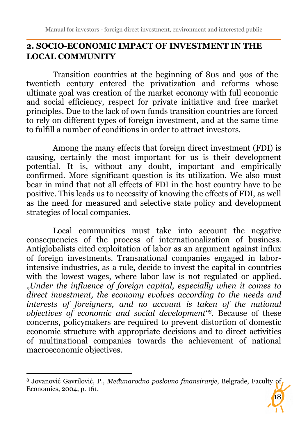## **2. SOCIO-ECONOMIC IMPACT OF INVESTMENT IN THE LOCAL COMMUNITY**

Transition countries at the beginning of 80s and 90s of the twentieth century entered the privatization and reforms whose ultimate goal was creation of the market economy with full economic and social efficiency, respect for private initiative and free market principles. Due to the lack of own funds transition countries are forced to rely on different types of foreign investment, and at the same time to fulfill a number of conditions in order to attract investors.

Among the many effects that foreign direct investment (FDI) is causing, certainly the most important for us is their development potential. It is, without any doubt, important and empirically confirmed. More significant question is its utilization. We also must bear in mind that not all effects of FDI in the host country have to be positive. This leads us to necessity of knowing the effects of FDI, as well as the need for measured and selective state policy and development strategies of local companies.

Local communities must take into account the negative consequencies of the process of internationalization of business. Antiglobalists cited exploitation of labor as an argument against influx of foreign investments. Transnational companies engaged in laborintensive industries, as a rule, decide to invest the capital in countries with the lowest wages, where labor law is not regulated or applied. "*Under the influence of foreign capital, especially when it comes to direct investment, the economy evolves according to the needs and interests of foreigners, and no account is taken of the national objectives of economic and social development"8.* Because of these concerns, policymakers are required to prevent distortion of domestic economic structure with appropriate decisions and to direct activities of multinational companies towards the achievement of national macroeconomic objectives.

 $\overline{a}$ 

<sup>8</sup> Jovanović Gavrilović, P., *Međunarodno poslovno finansiranje*, Belgrade, Faculty of Economics, 2004, p. 161.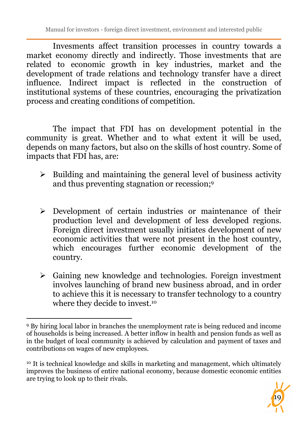Invesments affect transition processes in country towards a market economy directly and indirectly. Those investments that are related to economic growth in key industries, market and the development of trade relations and technology transfer have a direct influence. Indirect impact is reflected in the construction of institutional systems of these countries, encouraging the privatization process and creating conditions of competition.

The impact that FDI has on development potential in the community is great. Whether and to what extent it will be used, depends on many factors, but also on the skills of host country. Some of impacts that FDI has, are:

- $\triangleright$  Building and maintaining the general level of business activity and thus preventing stagnation or recession;<sup>9</sup>
- Development of certain industries or maintenance of their production level and development of less developed regions. Foreign direct investment usually initiates development of new economic activities that were not present in the host country, which encourages further economic development of the country.
- $\triangleright$  Gaining new knowledge and technologies. Foreign investment involves launching of brand new business abroad, and in order to achieve this it is necessary to transfer technology to a country where they decide to invest.<sup>10</sup>

<sup>10</sup> It is technical knowledge and skills in marketing and management, which ultimately improves the business of entire national economy, because domestic economic entities are trying to look up to their rivals.



<sup>9</sup> By hiring local labor in branches the unemployment rate is being reduced and income of households is being increased. A better inflow in health and pension funds as well as in the budget of local community is achieved by calculation and payment of taxes and contributions on wages of new employees.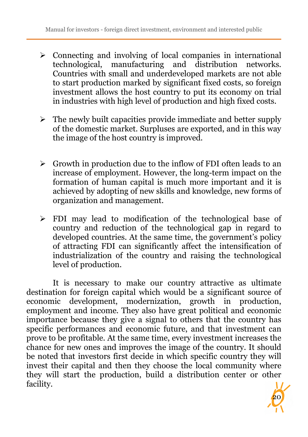- $\triangleright$  Connecting and involving of local companies in international technological, manufacturing and distribution networks. Countries with small and underdeveloped markets are not able to start production marked by significant fixed costs, so foreign investment allows the host country to put its economy on trial in industries with high level of production and high fixed costs.
- $\triangleright$  The newly built capacities provide immediate and better supply of the domestic market. Surpluses are exported, and in this way the image of the host country is improved.
- $\triangleright$  Growth in production due to the inflow of FDI often leads to an increase of employment. However, the long-term impact on the formation of human capital is much more important and it is achieved by adopting of new skills and knowledge, new forms of organization and management.
- FDI may lead to modification of the technological base of country and reduction of the technological gap in regard to developed countries. At the same time, the government's policy of attracting FDI can significantly affect the intensification of industrialization of the country and raising the technological level of production.

It is necessary to make our country attractive as ultimate destination for foreign capital which would be a significant source of economic development, modernization, growth in production, employment and income. They also have great political and economic importance because they give a signal to others that the country has specific performances and economic future, and that investment can prove to be profitable. At the same time, every investment increases the chance for new ones and improves the image of the country. It should be noted that investors first decide in which specific country they will invest their capital and then they choose the local community where they will start the production, build a distribution center or other facility.

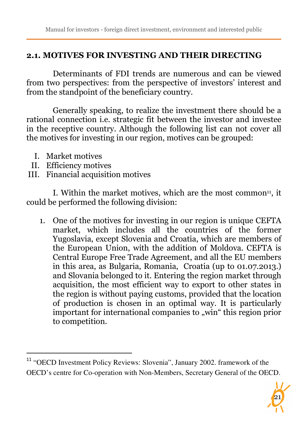#### **2.1. MOTIVES FOR INVESTING AND THEIR DIRECTING**

Determinants of FDI trends are numerous and can be viewed from two perspectives: from the perspective of investors' interest and from the standpoint of the beneficiary country.

Generally speaking, to realize the investment there should be a rational connection i.e. strategic fit between the investor and investee in the receptive country. Although the following list can not cover all the motives for investing in our region, motives can be grouped:

I. Market motives

 $\overline{a}$ 

- II. Efficiency motives
- III. Financial acquisition motives

I. Within the market motives, which are the most common<sup>11</sup>, it could be performed the following division:

1. One of the motives for investing in our region is unique CEFTA market, which includes all the countries of the former Yugoslavia, except Slovenia and Croatia, which are members of the European Union, with the addition of Moldova. CEFTA is Central Europe Free Trade Agreement, and all the EU members in this area, as Bulgaria, Romania, Croatia (up to 01.07.2013.) and Slovania belonged to it. Entering the region market through acquisition, the most efficient way to export to other states in the region is without paying customs, provided that the location of production is chosen in an optimal way. It is particularly important for international companies to "win" this region prior to competition.

<sup>&</sup>lt;sup>11</sup> "OECD Investment Policy Reviews: Slovenia", January 2002. framework of the OECD's centre for Co-operation with Non-Members, Secretary General of the OECD.

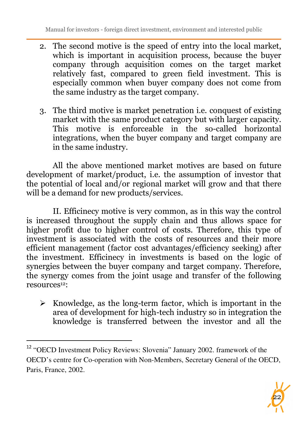- 2. The second motive is the speed of entry into the local market, which is important in acquisition process, because the buyer company through acquisition comes on the target market relatively fast, compared to green field investment. This is especially common when buyer company does not come from the same industry as the target company.
- 3. The third motive is market penetration i.e. conquest of existing market with the same product category but with larger capacity. This motive is enforceable in the so-called horizontal integrations, when the buyer company and target company are in the same industry.

All the above mentioned market motives are based on future development of market/product, i.e. the assumption of investor that the potential of local and/or regional market will grow and that there will be a demand for new products/services.

II. Efficinecy motive is very common, as in this way the control is increased throughout the supply chain and thus allows space for higher profit due to higher control of costs. Therefore, this type of investment is associated with the costs of resources and their more efficient management (factor cost advantages/efficiency seeking) after the investment. Efficinecy in investments is based on the logic of synergies between the buyer company and target company. Therefore, the synergy comes from the joint usage and transfer of the following resources12:

 $\triangleright$  Knowledge, as the long-term factor, which is important in the area of development for high-tech industry so in integration the knowledge is transferred between the investor and all the



<sup>&</sup>lt;sup>12</sup> "OECD Investment Policy Reviews: Slovenia" January 2002. framework of the OECD's centre for Co-operation with Non-Members, Secretary General of the OECD, Paris, France, 2002.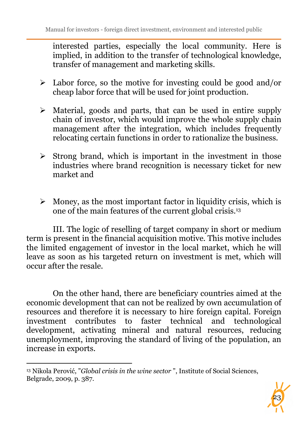interested parties, especially the local community. Here is implied, in addition to the transfer of technological knowledge, transfer of management and marketing skills.

- $\geq$  Labor force, so the motive for investing could be good and/or cheap labor force that will be used for joint production.
- $\triangleright$  Material, goods and parts, that can be used in entire supply chain of investor, which would improve the whole supply chain management after the integration, which includes frequently relocating certain functions in order to rationalize the business.
- $\triangleright$  Strong brand, which is important in the investment in those industries where brand recognition is necessary ticket for new market and
- $\triangleright$  Money, as the most important factor in liquidity crisis, which is one of the main features of the current global crisis.<sup>13</sup>

III. The logic of reselling of target company in short or medium term is present in the financial acquisition motive. This motive includes the limited engagement of investor in the local market, which he will leave as soon as his targeted return on investment is met, which will occur after the resale.

On the other hand, there are beneficiary countries aimed at the economic development that can not be realized by own accumulation of resources and therefore it is necessary to hire foreign capital. Foreign investment contributes to faster technical and technological development, activating mineral and natural resources, reducing unemployment, improving the standard of living of the population, an increase in exports.



<sup>13</sup> Nikola Perović, "*Global crisis in the wine sector* ", Institute of Social Sciences, Belgrade, 2009, p. 387.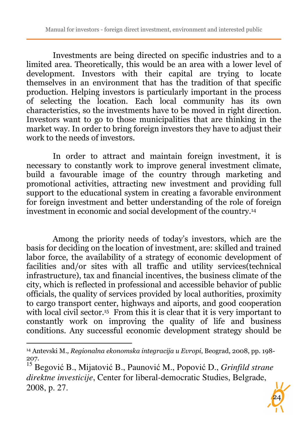Investments are being directed on specific industries and to a limited area. Theoretically, this would be an area with a lower level of development. Investors with their capital are trying to locate themselves in an environment that has the tradition of that specific production. Helping investors is particularly important in the process of selecting the location. Each local community has its own characteristics, so the investments have to be moved in right direction. Investors want to go to those municipalities that are thinking in the market way. In order to bring foreign investors they have to adjust their work to the needs of investors.

In order to attract and maintain foreign investment, it is necessary to constantly work to improve general investment climate, build a favourable image of the country through marketing and promotional activities, attracting new investment and providing full support to the educational system in creating a favorable environment for foreign investment and better understanding of the role of foreign investment in economic and social development of the country.<sup>14</sup>

Among the priority needs of today's investors, which are the basis for deciding on the location of investment, are: skilled and trained labor force, the availability of a strategy of economic development of facilities and/or sites with all traffic and utility services(technical infrastructure), tax and financial incentives, the business climate of the city, which is reflected in professional and accessible behavior of public officials, the quality of services provided by local authorities, proximity to cargo transport center, highways and aiports, and good cooperation with local civil sector.<sup>15</sup> From this it is clear that it is very important to constantly work on improving the quality of life and business conditions. Any successful economic development strategy should be

<sup>15</sup> Begović B., Mijatović B., Paunović M., Popović D., *Grinfild strane direktne investicije*, Center for liberal-democratic Studies, Belgrade, 2008, p. 27.



<sup>14</sup> Antevski M.*, Regionalna ekonomska integracija u Evropi*, Beograd, 2008, pp. 198- 207.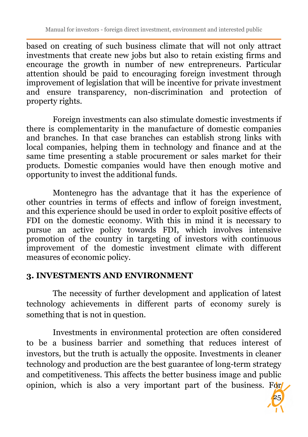based on creating of such business climate that will not only attract investments that create new jobs but also to retain existing firms and encourage the growth in number of new entrepreneurs. Particular attention should be paid to encouraging foreign investment through improvement of legislation that will be incentive for private investment and ensure transparency, non-discrimination and protection of property rights.

Foreign investments can also stimulate domestic investments if there is complementarity in the manufacture of domestic companies and branches. In that case branches can establish strong links with local companies, helping them in technology and finance and at the same time presenting a stable procurement or sales market for their products. Domestic companies would have then enough motive and opportunity to invest the additional funds.

Montenegro has the advantage that it has the experience of other countries in terms of effects and inflow of foreign investment, and this experience should be used in order to exploit positive effects of FDI on the domestic economy. With this in mind it is necessary to pursue an active policy towards FDI, which involves intensive promotion of the country in targeting of investors with continuous improvement of the domestic investment climate with different measures of economic policy.

#### **3. INVESTMENTS AND ENVIRONMENT**

The necessity of further development and application of latest technology achievements in different parts of economy surely is something that is not in question.

Investments in environmental protection are often considered to be a business barrier and something that reduces interest of investors, but the truth is actually the opposite. Investments in cleaner technology and production are the best guarantee of long-term strategy and competitiveness. This affects the better business image and public opinion, which is also a very important part of the business. For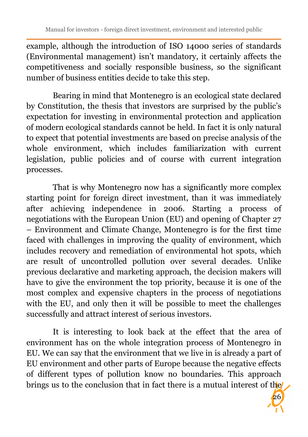example, although the introduction of ISO 14000 series of standards (Environmental management) isn't mandatory, it certainly affects the competitiveness and socially responsible business, so the significant number of business entities decide to take this step.

Bearing in mind that Montenegro is an ecological state declared by Constitution, the thesis that investors are surprised by the public's expectation for investing in environmental protection and application of modern ecological standards cannot be held. In fact it is only natural to expect that potential investments are based on precise analysis of the whole environment, which includes familiarization with current legislation, public policies and of course with current integration processes.

That is why Montenegro now has a significantly more complex starting point for foreign direct investment, than it was immediately after achieving independence in 2006. Starting a process of negotiations with the European Union (EU) and opening of Chapter 27 – Environment and Climate Change, Montenegro is for the first time faced with challenges in improving the quality of environment, which includes recovery and remediation of environmental hot spots, which are result of uncontrolled pollution over several decades. Unlike previous declarative and marketing approach, the decision makers will have to give the environment the top priority, because it is one of the most complex and expensive chapters in the process of negotiations with the EU, and only then it will be possible to meet the challenges successfully and attract interest of serious investors.

It is interesting to look back at the effect that the area of environment has on the whole integration process of Montenegro in EU. We can say that the environment that we live in is already a part of EU environment and other parts of Europe because the negative effects of different types of pollution know no boundaries. This approach brings us to the conclusion that in fact there is a mutual interest of the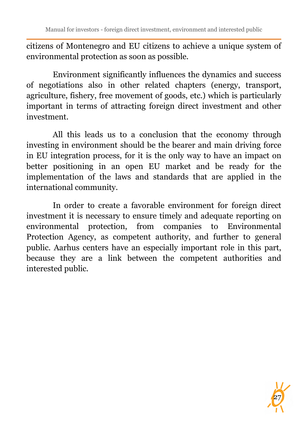citizens of Montenegro and EU citizens to achieve a unique system of environmental protection as soon as possible.

Environment significantly influences the dynamics and success of negotiations also in other related chapters (energy, transport, agriculture, fishery, free movement of goods, etc.) which is particularly important in terms of attracting foreign direct investment and other investment.

All this leads us to a conclusion that the economy through investing in environment should be the bearer and main driving force in EU integration process, for it is the only way to have an impact on better positioning in an open EU market and be ready for the implementation of the laws and standards that are applied in the international community.

In order to create a favorable environment for foreign direct investment it is necessary to ensure timely and adequate reporting on environmental protection, from companies to Environmental Protection Agency, as competent authority, and further to general public. Aarhus centers have an especially important role in this part, because they are a link between the competent authorities and interested public.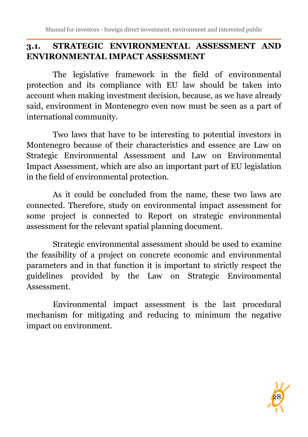Manual for investors - foreign direct investment, environment and interested public

## **3.1. STRATEGIC ENVIRONMENTAL ASSESSMENT AND ENVIRONMENTAL IMPACT ASSESSMENT**

The legislative framework in the field of environmental protection and its compliance with EU law should be taken into account when making investment decision, because, as we have already said, environment in Montenegro even now must be seen as a part of international community.

Two laws that have to be interesting to potential investors in Montenegro because of their characteristics and essence are Law on Strategic Environmental Assessment and Law on Environmental Impact Assessment, which are also an important part of EU legislation in the field of environmental protection.

As it could be concluded from the name, these two laws are connected. Therefore, study on environmental impact assessment for some project is connected to Report on strategic environmental assessment for the relevant spatial planning document.

Strategic environmental assessment should be used to examine the feasibility of a project on concrete economic and environmental parameters and in that function it is important to strictly respect the guidelines provided by the Law on Strategic Environmental Assessment.

Environmental impact assessment is the last procedural mechanism for mitigating and reducing to minimum the negative impact on environment.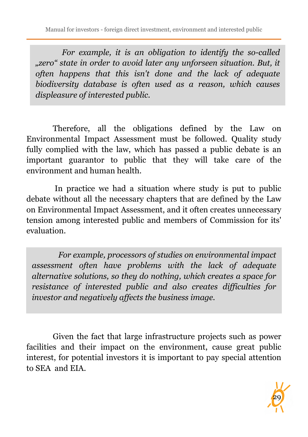*For example, it is an obligation to identify the so-called "zero" state in order to avoid later any unforseen situation. But, it often happens that this isn't done and the lack of adequate biodiversity database is often used as a reason, which causes displeasure of interested public.* 

Therefore, all the obligations defined by the Law on Environmental Impact Assessment must be followed. Quality study fully complied with the law, which has passed a public debate is an important guarantor to public that they will take care of the environment and human health.

 In practice we had a situation where study is put to public debate without all the necessary chapters that are defined by the Law on Environmental Impact Assessment, and it often creates unnecessary tension among interested public and members of Commission for its' evaluation.

*For example, processors of studies on environmental impact assessment often have problems with the lack of adequate alternative solutions, so they do nothing, which creates a space for resistance of interested public and also creates difficulties for investor and negatively affects the business image.* 

Given the fact that large infrastructure projects such as power facilities and their impact on the environment, cause great public interest, for potential investors it is important to pay special attention to SEA and EIA.

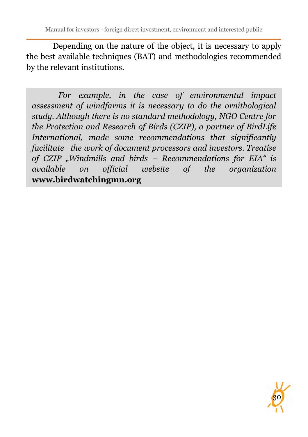Depending on the nature of the object, it is necessary to apply the best available techniques (BAT) and methodologies recommended by the relevant institutions.

*For example, in the case of environmental impact assessment of windfarms it is necessary to do the ornithological study. Although there is no standard methodology, NGO Centre for the Protection and Research of Birds (CZIP), a partner of BirdLife International, made some recommendations that significantly facilitate the work of document processors and investors. Treatise of CZIP "Windmills and birds – Recommendations for EIA" is available on official website of the organization*  **www.birdwatchingmn.org**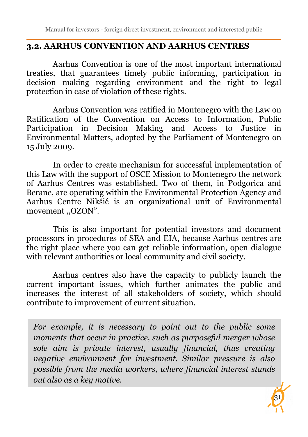#### **3.2. AARHUS CONVENTION AND AARHUS CENTRES**

Aarhus Convention is one of the most important international treaties, that guarantees timely public informing, participation in decision making regarding environment and the right to legal protection in case of violation of these rights.

Aarhus Convention was ratified in Montenegro with the Law on Ratification of the Convention on Access to Information, Public Participation in Decision Making and Access to Justice in Environmental Matters, adopted by the Parliament of Montenegro on 15 July 2009.

In order to create mechanism for successful implementation of this Law with the support of OSCE Mission to Montenegro the network of Aarhus Centres was established. Two of them, in Podgorica and Berane, are operating within the Environmental Protection Agency and Aarhus Centre Nikšić is an organizational unit of Environmental movement ,,OZON".

This is also important for potential investors and document processors in procedures of SEA and EIA, because Aarhus centres are the right place where you can get reliable information, open dialogue with relevant authorities or local community and civil society.

Aarhus centres also have the capacity to publicly launch the current important issues, which further animates the public and increases the interest of all stakeholders of society, which should contribute to improvement of current situation.

*For example, it is necessary to point out to the public some moments that occur in practice, such as purposeful merger whose sole aim is private interest, usually financial, thus creating negative environment for investment. Similar pressure is also possible from the media workers, where financial interest stands out also as a key motive.* 

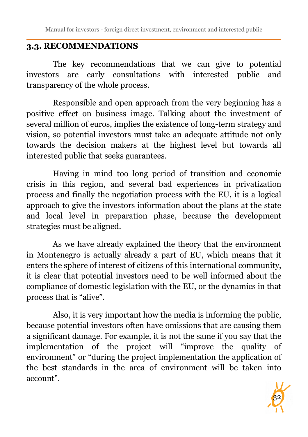## **3.3. RECOMMENDATIONS**

The key recommendations that we can give to potential investors are early consultations with interested public and transparency of the whole process.

Responsible and open approach from the very beginning has a positive effect on business image. Talking about the investment of several million of euros, implies the existence of long-term strategy and vision, so potential investors must take an adequate attitude not only towards the decision makers at the highest level but towards all interested public that seeks guarantees.

 Having in mind too long period of transition and economic crisis in this region, and several bad experiences in privatization process and finally the negotiation process with the EU, it is a logical approach to give the investors information about the plans at the state and local level in preparation phase, because the development strategies must be aligned.

 As we have already explained the theory that the environment in Montenegro is actually already a part of EU, which means that it enters the sphere of interest of citizens of this international community, it is clear that potential investors need to be well informed about the compliance of domestic legislation with the EU, or the dynamics in that process that is "alive".

 Also, it is very important how the media is informing the public, because potential investors often have omissions that are causing them a significant damage. For example, it is not the same if you say that the implementation of the project will "improve the quality of environment" or "during the project implementation the application of the best standards in the area of environment will be taken into account".